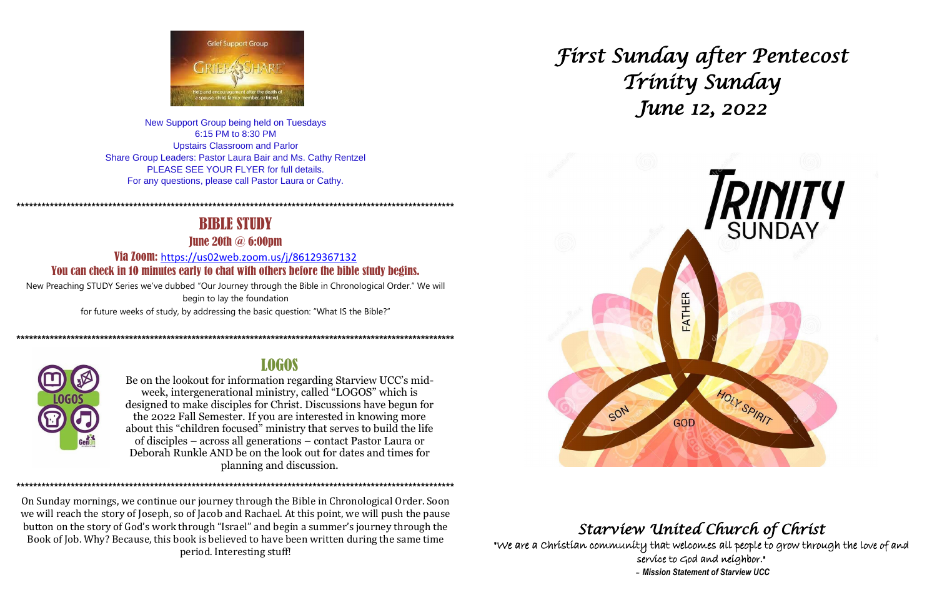

New Support Group being held on Tuesdays 6:15 PM to 8:30 PM **Upstairs Classroom and Parlor** Share Group Leaders: Pastor Laura Bair and Ms. Cathy Rentzel PLEASE SEE YOUR FLYER for full details. For any questions, please call Pastor Laura or Cathy.

# **BIBLE STUDY**

**Tune 20th**  $\omega$  **6:00pm** 

Via Zoom: https://us02web.zoom.us/j/86129367132 You can check in 10 minutes early to chat with others before the bible study begins.

New Preaching STUDY Series we've dubbed "Our Journey through the Bible in Chronological Order." We will begin to lay the foundation for future weeks of study, by addressing the basic question: "What IS the Bible?"



## **LOGOS**

Be on the lookout for information regarding Starview UCC's midweek, intergenerational ministry, called "LOGOS" which is designed to make disciples for Christ. Discussions have begun for the 2022 Fall Semester. If you are interested in knowing more about this "children focused" ministry that serves to build the life of disciples – across all generations – contact Pastor Laura or Deborah Runkle AND be on the look out for dates and times for planning and discussion.

On Sunday mornings, we continue our journey through the Bible in Chronological Order. Soon we will reach the story of Joseph, so of Jacob and Rachael. At this point, we will push the pause button on the story of God's work through "Israel" and begin a summer's journey through the Book of Job. Why? Because, this book is believed to have been written during the same time period. Interesting stuff!

ung perangan perang perang perang perang perang perang perang perang perang perang perang perang perang perang perang perang perang perang perang perang perang perang perang perang perang perang perang perang perang perang

# First Sunday after Pentecost Tríníty Sunday June 12, 2022



"We are a Christian community that welcomes all people to grow through the love of and service to God and neighbor." - Mission Statement of Starview UCC

# Starview United Church of Christ